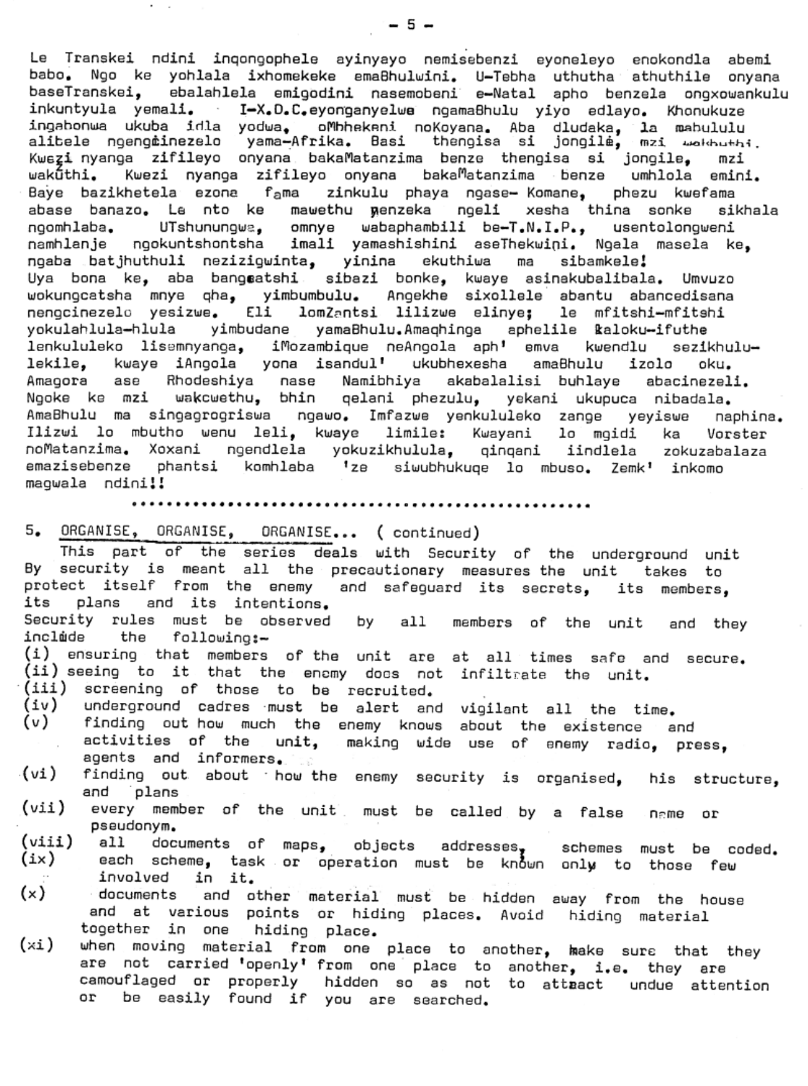Le Transkei ndini inqongophele ayinyayo nemisebenzi eyoneleyo enokondla abemi<br>babo, Ngo ke yohlala ixhomekeke emaßhulwini. U-Tebha uthutha athuthile onyana Ngo ke yohlala ixhomekeke emaBhulwini. U-Tebha uthutha athuthile onyana baseTranskei, ebalahlela emigodini nasemobeni e-Natal apho benzela ongxowankulu inkuntyula yemali. I-X.D.C.eyonganyelwa ngamaBhulu yiyo edlayo. Khonukuze ingabonwa ukuba idla yodwa, oMhhekeni noKoyana. Aba dludaka, la mahululu alitele ngengiinezelo yama-Afrika. Basi thengisa si jongilé, mzi wakhuthi. Kwezi nyanga zifileyo onyana bakaMatanzima benze thengisa si jongile, mzi wakūthi. Kwezi nyanga zifileyo onyana baka<sup>m</sup>atanzima benze umhlola emini. Baye bazikhetela ezona fama zinkulu phaya ngase- Komane, phezu kwefama abase banazo. Le nto ke mawethu menzeka ngeli xesha thina sonke sikhala ngomhlaba. UTshunungwa, omnye wabaphambili be-T.N.I.P., usentolongweni namhlanje ngokuntshontsha imali yamashishini aseThekwini. Ngala masela ke, ngaba batjhuthuli nezizigwinta, yinina ekuthiwa ma sibamkele! Uya bona ke, aba bangsatshi sibazi bonke, kwaye asinakubalibala. Umvuzo wokungcatsha mnye qha, yimbumbulu. Angekhe sixollele abantu abancedisana nengcinezelo yesizwe. Eli lomZantsi lilizwe elinye; le mfitshi-mfitshi yokulahlula-hlula yimbudane yamaBhulu.Amaqhinga aphelile kaloku-ifuthe lenkululeko lisemnyanga, iMozambique neAngola aph' emva kwendlu sezikhululekile, kwaye iAngola yona isandul' ukubhexesha amaBhulu izolo oku. Amagora ase Rhodeshiya nase Namibhiya akabalalisi buhlaye abacinezeli. Ngoke ke mzi wakcwethu, bhin qelani phezulu, yekani ukupuca nibadala. AmaBhulu ma singagrogriswa ngawo. Imfazwe yenkululeko zange yeyiswe naphina. Ilizwi lo mbutho wenu leli, kwaye limile: Kwayani lo mgidi ka Vorster noMatanzima. Xoxani ngendlela yokuzikhulula, qinqani iindlela zokuzabalaza emazisebenze phantsi komhlaba 'ze siwubhukuqe lo mbuso. Zemk' inkomo magwala ndini!!

## • • • • • • •• • • • • • • • • • • • • • • • • • • • • • • • • • • • • •• • • • • • • • • • • • • • • •

5. ORGANISE, ORGANISE, ORGANISE... ( continued)

 $\mathbf{r} = -\mathbf{r}$ 

This part of the series deals with Security of the underground unit By security is meant all the precautionary measures the unit takes to protect itself from the enemy and safeguard its secrets, its members,<br>its plans and its intentions. plans and its intentions.

and they<br>' members of the unit Security rules must be observed by inclade the following:=

- $(i)$  ensuring that members of the unit are at all times safe and infiltretal constants when the contract are at all times sare a<br>(ii) seeing to it that the enomy docs not infiltrate the unit.
- (iii) screening of those to be recruited.<br>(iv) underground cadres must be alert and
- $(iv)$  underground cadres must be alert and vigilant all the time.
- (v) finding out-how much the enemy knows about the existence and activities of the unit, making wide use of enemy radio, press, egents and informers,
- finding out about how the enemy security is organised, his structure, end plans (vi)
- name or every member of the unit must be called by a false<br>pseudonym. pseudonym. (vii )
- all documents of maps, objects addresses, schemes must be coded. (viii)  $\left( \text{ix}\right)$
- each scheme, task or operation must be known only to those few involved in it.
- $(x)$ documents and other material must be hidden away from the house and at various points or hiding places. Avoid hiding material together in one hiding pIece.
- when moving material from one place to another, make sure that they are not cerried 'epenly' From one place to another, *i.e.* they are camouflaged or properly hidden so as not to attract undue attention<br>or be easily found if you are searched be easily found if you are searched.  $(xi)$